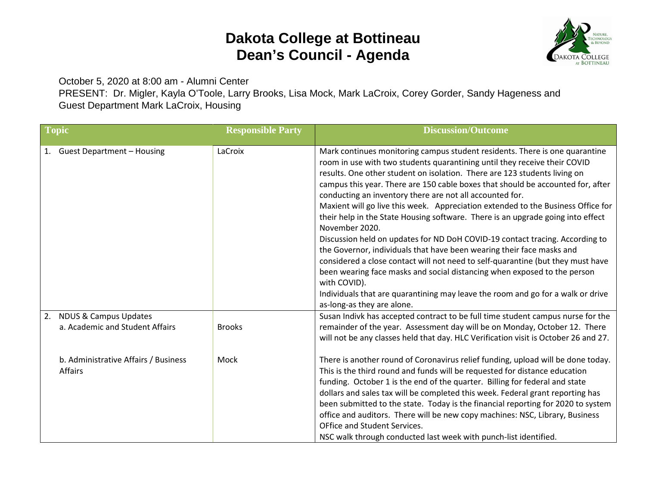## **Dakota College at Bottineau Dean's Council - Agenda**



October 5, 2020 at 8:00 am - Alumni Center

PRESENT: Dr. Migler, Kayla O'Toole, Larry Brooks, Lisa Mock, Mark LaCroix, Corey Gorder, Sandy Hageness and Guest Department Mark LaCroix, Housing

| <b>Topic</b>                                                              | <b>Responsible Party</b> | <b>Discussion/Outcome</b>                                                                                                                                                                                                                                                                                                                                                                                                                                                                                                                                                                                                                                                                                                                                                                                                                                                                                                                                                                                                              |
|---------------------------------------------------------------------------|--------------------------|----------------------------------------------------------------------------------------------------------------------------------------------------------------------------------------------------------------------------------------------------------------------------------------------------------------------------------------------------------------------------------------------------------------------------------------------------------------------------------------------------------------------------------------------------------------------------------------------------------------------------------------------------------------------------------------------------------------------------------------------------------------------------------------------------------------------------------------------------------------------------------------------------------------------------------------------------------------------------------------------------------------------------------------|
| <b>Guest Department - Housing</b>                                         | LaCroix                  | Mark continues monitoring campus student residents. There is one quarantine<br>room in use with two students quarantining until they receive their COVID<br>results. One other student on isolation. There are 123 students living on<br>campus this year. There are 150 cable boxes that should be accounted for, after<br>conducting an inventory there are not all accounted for.<br>Maxient will go live this week. Appreciation extended to the Business Office for<br>their help in the State Housing software. There is an upgrade going into effect<br>November 2020.<br>Discussion held on updates for ND DoH COVID-19 contact tracing. According to<br>the Governor, individuals that have been wearing their face masks and<br>considered a close contact will not need to self-quarantine (but they must have<br>been wearing face masks and social distancing when exposed to the person<br>with COVID).<br>Individuals that are quarantining may leave the room and go for a walk or drive<br>as-long-as they are alone. |
| <b>NDUS &amp; Campus Updates</b><br>2.<br>a. Academic and Student Affairs | <b>Brooks</b>            | Susan Indivk has accepted contract to be full time student campus nurse for the<br>remainder of the year. Assessment day will be on Monday, October 12. There<br>will not be any classes held that day. HLC Verification visit is October 26 and 27.                                                                                                                                                                                                                                                                                                                                                                                                                                                                                                                                                                                                                                                                                                                                                                                   |
| b. Administrative Affairs / Business<br>Affairs                           | Mock                     | There is another round of Coronavirus relief funding, upload will be done today.<br>This is the third round and funds will be requested for distance education<br>funding. October 1 is the end of the quarter. Billing for federal and state<br>dollars and sales tax will be completed this week. Federal grant reporting has<br>been submitted to the state. Today is the financial reporting for 2020 to system<br>office and auditors. There will be new copy machines: NSC, Library, Business<br>OFfice and Student Services.<br>NSC walk through conducted last week with punch-list identified.                                                                                                                                                                                                                                                                                                                                                                                                                                |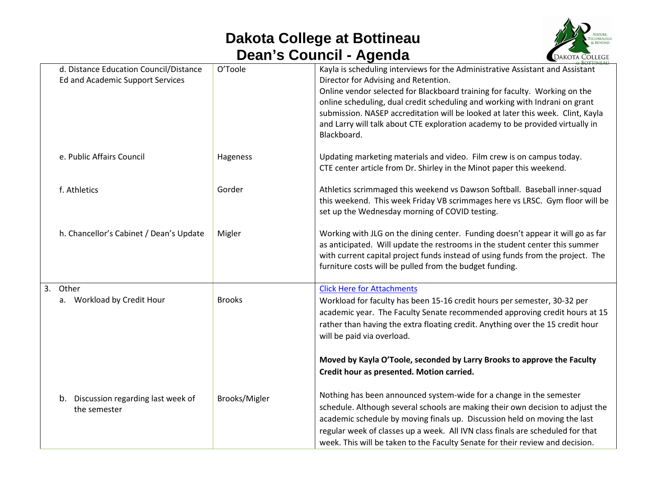## **Dakota College at Bottineau Dean's Council - Agenda**



| d. Distance Education Council/Distance<br>Ed and Academic Support Services | O'Toole       | Kayla is scheduling interviews for the Administrative Assistant and Assistant<br>Director for Advising and Retention.<br>Online vendor selected for Blackboard training for faculty. Working on the<br>online scheduling, dual credit scheduling and working with Indrani on grant<br>submission. NASEP accreditation will be looked at later this week. Clint, Kayla<br>and Larry will talk about CTE exploration academy to be provided virtually in<br>Blackboard. |
|----------------------------------------------------------------------------|---------------|-----------------------------------------------------------------------------------------------------------------------------------------------------------------------------------------------------------------------------------------------------------------------------------------------------------------------------------------------------------------------------------------------------------------------------------------------------------------------|
| e. Public Affairs Council                                                  | Hageness      | Updating marketing materials and video. Film crew is on campus today.<br>CTE center article from Dr. Shirley in the Minot paper this weekend.                                                                                                                                                                                                                                                                                                                         |
| f. Athletics                                                               | Gorder        | Athletics scrimmaged this weekend vs Dawson Softball. Baseball inner-squad<br>this weekend. This week Friday VB scrimmages here vs LRSC. Gym floor will be<br>set up the Wednesday morning of COVID testing.                                                                                                                                                                                                                                                          |
| h. Chancellor's Cabinet / Dean's Update                                    | Migler        | Working with JLG on the dining center. Funding doesn't appear it will go as far<br>as anticipated. Will update the restrooms in the student center this summer<br>with current capital project funds instead of using funds from the project. The<br>furniture costs will be pulled from the budget funding.                                                                                                                                                          |
| 3. Other                                                                   |               | <b>Click Here for Attachments</b>                                                                                                                                                                                                                                                                                                                                                                                                                                     |
| a. Workload by Credit Hour                                                 | <b>Brooks</b> | Workload for faculty has been 15-16 credit hours per semester, 30-32 per<br>academic year. The Faculty Senate recommended approving credit hours at 15<br>rather than having the extra floating credit. Anything over the 15 credit hour<br>will be paid via overload.                                                                                                                                                                                                |
|                                                                            |               | Moved by Kayla O'Toole, seconded by Larry Brooks to approve the Faculty<br>Credit hour as presented. Motion carried.                                                                                                                                                                                                                                                                                                                                                  |
| b. Discussion regarding last week of<br>the semester                       | Brooks/Migler | Nothing has been announced system-wide for a change in the semester<br>schedule. Although several schools are making their own decision to adjust the<br>academic schedule by moving finals up. Discussion held on moving the last<br>regular week of classes up a week. All IVN class finals are scheduled for that<br>week. This will be taken to the Faculty Senate for their review and decision.                                                                 |